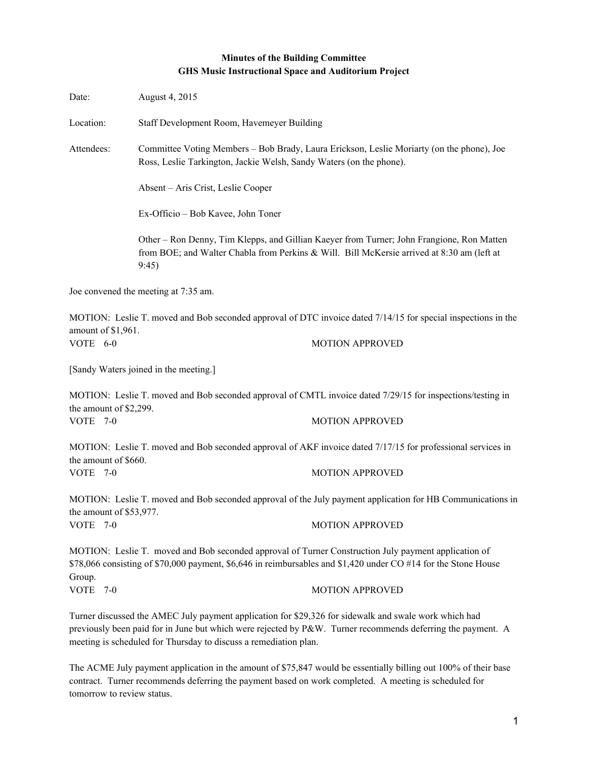# **Minutes of the Building Committee GHS Music Instructional Space and Auditorium Project**

| Date:                               | August 4, 2015                                                                                                                                                   |                                                                                                                                                                                                                        |  |
|-------------------------------------|------------------------------------------------------------------------------------------------------------------------------------------------------------------|------------------------------------------------------------------------------------------------------------------------------------------------------------------------------------------------------------------------|--|
| Location:                           | Staff Development Room, Havemeyer Building                                                                                                                       |                                                                                                                                                                                                                        |  |
| Attendees:                          | Committee Voting Members – Bob Brady, Laura Erickson, Leslie Moriarty (on the phone), Joe<br>Ross, Leslie Tarkington, Jackie Welsh, Sandy Waters (on the phone). |                                                                                                                                                                                                                        |  |
|                                     | Absent – Aris Crist, Leslie Cooper                                                                                                                               |                                                                                                                                                                                                                        |  |
|                                     | Ex-Officio - Bob Kavee, John Toner                                                                                                                               |                                                                                                                                                                                                                        |  |
|                                     | 9:45                                                                                                                                                             | Other – Ron Denny, Tim Klepps, and Gillian Kaeyer from Turner; John Frangione, Ron Matten<br>from BOE; and Walter Chabla from Perkins & Will. Bill McKersie arrived at 8:30 am (left at                                |  |
|                                     | Joe convened the meeting at 7:35 am.                                                                                                                             |                                                                                                                                                                                                                        |  |
| amount of \$1,961.                  |                                                                                                                                                                  | MOTION: Leslie T. moved and Bob seconded approval of DTC invoice dated 7/14/15 for special inspections in the                                                                                                          |  |
| VOTE 6-0                            |                                                                                                                                                                  | <b>MOTION APPROVED</b>                                                                                                                                                                                                 |  |
|                                     | [Sandy Waters joined in the meeting.]                                                                                                                            |                                                                                                                                                                                                                        |  |
| the amount of \$2,299.              |                                                                                                                                                                  | MOTION: Leslie T. moved and Bob seconded approval of CMTL invoice dated 7/29/15 for inspections/testing in                                                                                                             |  |
| <b>VOTE 7-0</b>                     |                                                                                                                                                                  | <b>MOTION APPROVED</b>                                                                                                                                                                                                 |  |
| the amount of \$660.                |                                                                                                                                                                  | MOTION: Leslie T. moved and Bob seconded approval of AKF invoice dated 7/17/15 for professional services in                                                                                                            |  |
| VOTE 7-0                            |                                                                                                                                                                  | <b>MOTION APPROVED</b>                                                                                                                                                                                                 |  |
|                                     |                                                                                                                                                                  | MOTION: Leslie T. moved and Bob seconded approval of the July payment application for HB Communications in                                                                                                             |  |
| the amount of \$53,977.<br>VOTE 7-0 |                                                                                                                                                                  | <b>MOTION APPROVED</b>                                                                                                                                                                                                 |  |
|                                     |                                                                                                                                                                  | MOTION: Leslie T. moved and Bob seconded approval of Turner Construction July payment application of<br>\$78,066 consisting of \$70,000 payment, \$6,646 in reimbursables and \$1,420 under CO #14 for the Stone House |  |
| Group.<br><b>VOTE</b><br>$7-0$      |                                                                                                                                                                  | <b>MOTION APPROVED</b>                                                                                                                                                                                                 |  |
|                                     |                                                                                                                                                                  | Turner discussed the AMEC July payment application for \$29,326 for sidewalk and swale work which had<br>previously been paid for in June but which were rejected by P&W. Turner recommends deferring the payment. A   |  |

previously been paid for in June but which were rejected by P&W. Turner recommends deferring the payment. A meeting is scheduled for Thursday to discuss a remediation plan.

The ACME July payment application in the amount of \$75,847 would be essentially billing out 100% of their base contract. Turner recommends deferring the payment based on work completed. A meeting is scheduled for tomorrow to review status.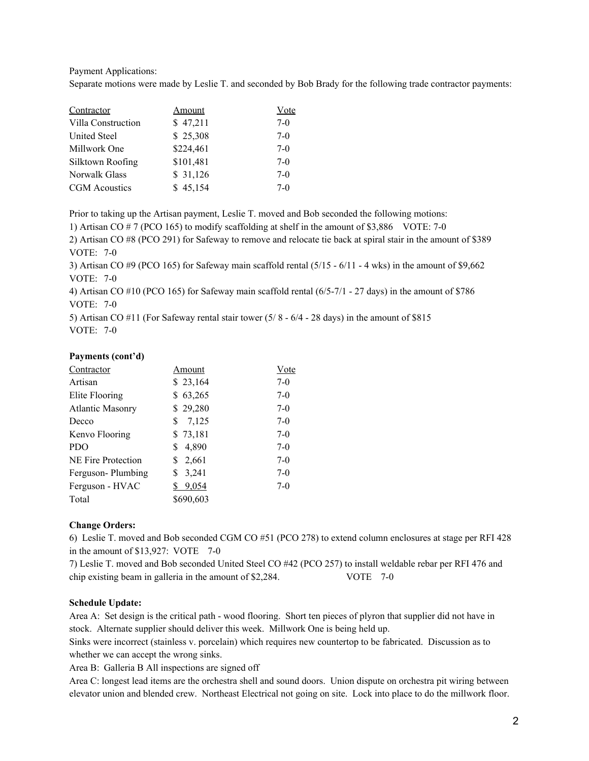Payment Applications:

Separate motions were made by Leslie T. and seconded by Bob Brady for the following trade contractor payments:

| Contractor           | Amount    | Vote  |
|----------------------|-----------|-------|
| Villa Construction   | \$47,211  | $7-0$ |
| <b>United Steel</b>  | \$25,308  | $7-0$ |
| Millwork One         | \$224,461 | $7-0$ |
| Silktown Roofing     | \$101,481 | $7-0$ |
| Norwalk Glass        | \$31,126  | $7-0$ |
| <b>CGM</b> Acoustics | \$45,154  | $7-0$ |

Prior to taking up the Artisan payment, Leslie T. moved and Bob seconded the following motions:

1) Artisan CO # 7 (PCO 165) to modify scaffolding at shelf in the amount of \$3,886 VOTE: 70

2) Artisan CO #8 (PCO 291) for Safeway to remove and relocate tie back at spiral stair in the amount of \$389 **VOTE: 7-0** 

3) Artisan CO  $#9$  (PCO 165) for Safeway main scaffold rental (5/15  $-6/11 - 4$  wks) in the amount of \$9,662 **VOTE: 7-0** 

4) Artisan CO #10 (PCO 165) for Safeway main scaffold rental (6/57/1 27 days) in the amount of \$786 VOTE:  $7-0$ 

5) Artisan CO  $#11$  (For Safeway rental stair tower  $(5/8 - 6/4 - 28)$  days) in the amount of \$815 VOTE:  $7-0$ 

### **Payments (cont'd)**

| Contractor              | Amount      | Vote  |
|-------------------------|-------------|-------|
| Artisan                 | \$23,164    | $7-0$ |
| Elite Flooring          | \$63,265    | $7-0$ |
| <b>Atlantic Masonry</b> | \$29,280    | $7-0$ |
| Decco                   | 7,125<br>S  | $7-0$ |
| Kenvo Flooring          | \$73,181    | $7-0$ |
| <b>PDO</b>              | 4,890<br>\$ | $7-0$ |
| NE Fire Protection      | \$<br>2,661 | $7-0$ |
| Ferguson-Plumbing       | 3,241<br>\$ | $7-0$ |
| Ferguson - HVAC         | 9,054       | $7-0$ |
| Total                   | \$690,603   |       |

#### **Change Orders:**

6) Leslie T. moved and Bob seconded CGM CO #51 (PCO 278) to extend column enclosures at stage per RFI 428 in the amount of  $$13,927$ : VOTE 7-0

7) Leslie T. moved and Bob seconded United Steel CO #42 (PCO 257) to install weldable rebar per RFI 476 and chip existing beam in galleria in the amount of \$2,284. VOTE 7-0

### **Schedule Update:**

Area A: Set design is the critical path - wood flooring. Short ten pieces of plyron that supplier did not have in stock. Alternate supplier should deliver this week. Millwork One is being held up.

Sinks were incorrect (stainless v. porcelain) which requires new countertop to be fabricated. Discussion as to whether we can accept the wrong sinks.

Area B: Galleria B All inspections are signed off

Area C: longest lead items are the orchestra shell and sound doors. Union dispute on orchestra pit wiring between elevator union and blended crew. Northeast Electrical not going on site. Lock into place to do the millwork floor.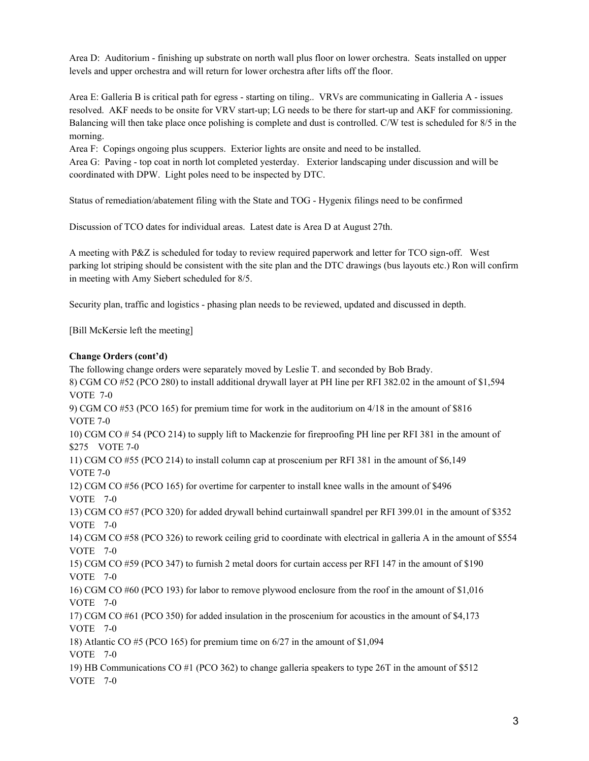Area D: Auditorium finishing up substrate on north wall plus floor on lower orchestra. Seats installed on upper levels and upper orchestra and will return for lower orchestra after lifts off the floor.

Area E: Galleria B is critical path for egress - starting on tiling.. VRVs are communicating in Galleria A - issues resolved. AKF needs to be onsite for VRV start-up; LG needs to be there for start-up and AKF for commissioning. Balancing will then take place once polishing is complete and dust is controlled. C/W test is scheduled for 8/5 in the morning.

Area F: Copings ongoing plus scuppers. Exterior lights are onsite and need to be installed. Area G: Paving - top coat in north lot completed yesterday. Exterior landscaping under discussion and will be coordinated with DPW. Light poles need to be inspected by DTC.

Status of remediation/abatement filing with the State and TOG - Hygenix filings need to be confirmed

Discussion of TCO dates for individual areas. Latest date is Area D at August 27th.

A meeting with P&Z is scheduled for today to review required paperwork and letter for TCO sign-off. West parking lot striping should be consistent with the site plan and the DTC drawings (bus layouts etc.) Ron will confirm in meeting with Amy Siebert scheduled for 8/5.

Security plan, traffic and logistics phasing plan needs to be reviewed, updated and discussed in depth.

[Bill McKersie left the meeting]

## **Change Orders (cont'd)**

The following change orders were separately moved by Leslie T. and seconded by Bob Brady. 8) CGM CO #52 (PCO 280) to install additional drywall layer at PH line per RFI 382.02 in the amount of \$1,594 VOTE  $7-0$ 9) CGM CO #53 (PCO 165) for premium time for work in the auditorium on 4/18 in the amount of \$816 VOTE  $7-0$ 10) CGM CO # 54 (PCO 214) to supply lift to Mackenzie for fireproofing PH line per RFI 381 in the amount of \$275 VOTE 7-0 11) CGM CO #55 (PCO 214) to install column cap at proscenium per RFI 381 in the amount of \$6,149 VOTE  $7-0$ 12) CGM CO #56 (PCO 165) for overtime for carpenter to install knee walls in the amount of \$496 VOTE  $7-0$ 13) CGM CO #57 (PCO 320) for added drywall behind curtainwall spandrel per RFI 399.01 in the amount of \$352 VOTE  $7-0$ 14) CGM CO #58 (PCO 326) to rework ceiling grid to coordinate with electrical in galleria A in the amount of \$554 VOTE  $7-0$ 15) CGM CO #59 (PCO 347) to furnish 2 metal doors for curtain access per RFI 147 in the amount of \$190 VOTE 7-0 16) CGM CO #60 (PCO 193) for labor to remove plywood enclosure from the roof in the amount of \$1,016 VOTE 7-0 17) CGM CO #61 (PCO 350) for added insulation in the proscenium for acoustics in the amount of \$4,173 VOTE 7-0 18) Atlantic CO #5 (PCO 165) for premium time on 6/27 in the amount of \$1,094 VOTE  $7-0$ 19) HB Communications CO #1 (PCO 362) to change galleria speakers to type 26T in the amount of \$512 VOTE  $7-0$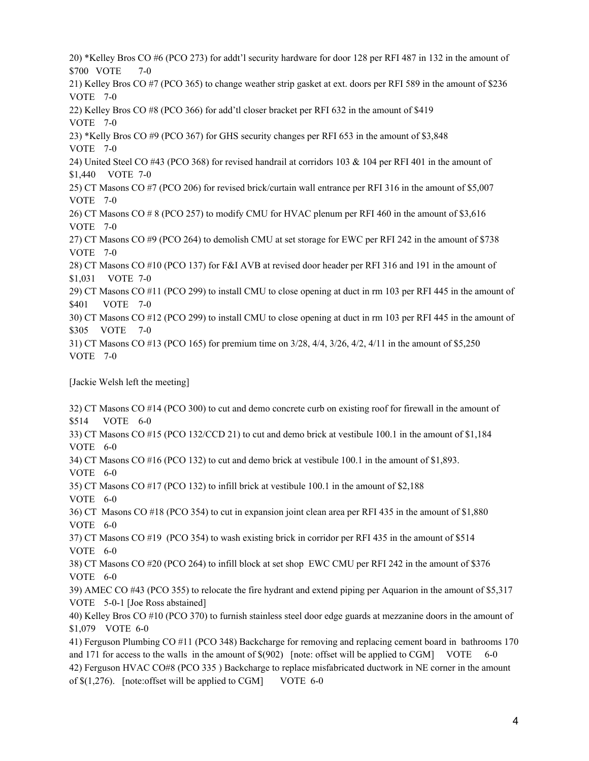20) \*Kelley Bros CO #6 (PCO 273) for addt'l security hardware for door 128 per RFI 487 in 132 in the amount of \$700 VOTE 7-0 21) Kelley Bros CO #7 (PCO 365) to change weather strip gasket at ext. doors per RFI 589 in the amount of \$236 VOTE  $7-0$ 22) Kelley Bros CO #8 (PCO 366) for add'tl closer bracket per RFI 632 in the amount of \$419 VOTE  $7-0$ 23) \*Kelly Bros CO #9 (PCO 367) for GHS security changes per RFI 653 in the amount of \$3,848 VOTE 7-0 24) United Steel CO #43 (PCO 368) for revised handrail at corridors 103 & 104 per RFI 401 in the amount of \$1,440 VOTE 7-0 25) CT Masons CO #7 (PCO 206) for revised brick/curtain wall entrance per RFI 316 in the amount of \$5,007 VOTE 7-0 26) CT Masons CO # 8 (PCO 257) to modify CMU for HVAC plenum per RFI 460 in the amount of \$3,616 VOTE 7-0 27) CT Masons CO #9 (PCO 264) to demolish CMU at set storage for EWC per RFI 242 in the amount of \$738 VOTE 7-0 28) CT Masons CO #10 (PCO 137) for F&I AVB at revised door header per RFI 316 and 191 in the amount of \$1,031 VOTE 7-0 29) CT Masons CO #11 (PCO 299) to install CMU to close opening at duct in rm 103 per RFI 445 in the amount of \$401 VOTE 7-0 30) CT Masons CO #12 (PCO 299) to install CMU to close opening at duct in rm 103 per RFI 445 in the amount of \$305 VOTE 7-0 31) CT Masons CO #13 (PCO 165) for premium time on 3/28, 4/4, 3/26, 4/2, 4/11 in the amount of \$5,250 VOTE  $7-0$ 

[Jackie Welsh left the meeting]

32) CT Masons CO #14 (PCO 300) to cut and demo concrete curb on existing roof for firewall in the amount of \$514 VOTE 6-0 33) CT Masons CO #15 (PCO 132/CCD 21) to cut and demo brick at vestibule 100.1 in the amount of \$1,184 VOTE  $6-0$ 34) CT Masons CO #16 (PCO 132) to cut and demo brick at vestibule 100.1 in the amount of \$1,893. VOTE  $6-0$ 35) CT Masons CO #17 (PCO 132) to infill brick at vestibule 100.1 in the amount of \$2,188 VOTE  $6-0$ 36) CT Masons CO #18 (PCO 354) to cut in expansion joint clean area per RFI 435 in the amount of \$1,880 VOTE  $6-0$ 37) CT Masons CO #19 (PCO 354) to wash existing brick in corridor per RFI 435 in the amount of \$514 VOTE  $6-0$ 38) CT Masons CO #20 (PCO 264) to infill block at set shop EWC CMU per RFI 242 in the amount of \$376 VOTE 6-0 39) AMEC CO #43 (PCO 355) to relocate the fire hydrant and extend piping per Aquarion in the amount of \$5,317 VOTE 5-0-1 [Joe Ross abstained] 40) Kelley Bros CO #10 (PCO 370) to furnish stainless steel door edge guards at mezzanine doors in the amount of \$1,079 VOTE 6-0 41) Ferguson Plumbing CO #11 (PCO 348) Backcharge for removing and replacing cement board in bathrooms 170 and 171 for access to the walls in the amount of  $\$(902)$  [note: offset will be applied to CGM] VOTE 6-0 42) Ferguson HVAC CO#8 (PCO 335 ) Backcharge to replace misfabricated ductwork in NE corner in the amount of  $$(1,276)$ . [note:offset will be applied to CGM] VOTE 6-0